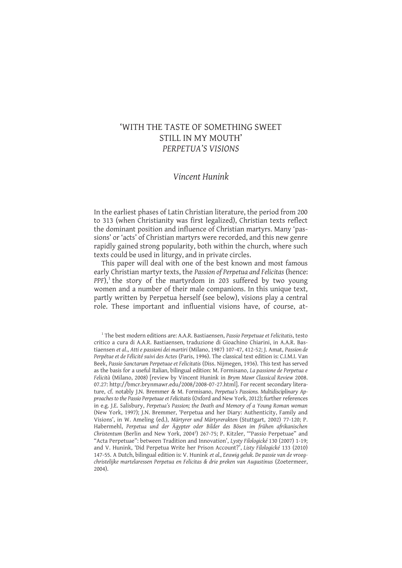# 'WITH THE TASTE OF SOMETHING SWEET STILL IN MY MOUTH' *PERPETUA'S VISIONS*

## *Vincent Hunink*

In the earliest phases of Latin Christian literature, the period from 200 to 313 (when Christianity was first legalized), Christian texts reflect the dominant position and influence of Christian martyrs. Many 'passions' or 'acts' of Christian martyrs were recorded, and this new genre rapidly gained strong popularity, both within the church, where such texts could be used in liturgy, and in private circles.

This paper will deal with one of the best known and most famous early Christian martyr texts, the *Passion of Perpetua and Felicitas* (hence: PPF),<sup>1</sup> the story of the martyrdom in 203 suffered by two young women and a number of their male companions. In this unique text, partly written by Perpetua herself (see below), visions play a central role. These important and influential visions have, of course, at-

<sup>1</sup> The best modern editions are: A.A.R. Bastiaensen, *Passio Perpetuae et Felicitatis*, testo critico a cura di A.A.R. Bastiaensen, traduzione di Gioachino Chiarini, in A.A.R. Bastiaensen *et al*., *Atti e passioni dei martiri* (Milano, 1987) 107-47, 412-52; J. Amat, *Passion de Perpétue et de Félicité suivi des Actes* (Paris, 1996). The classical text edition is: C.I.M.I. Van Beek, *Passio Sanctarum Perpetuae et Felicitatis* (Diss. Nijmegen, 1936). This text has served as the basis for a useful Italian, bilingual edition: M. Formisano, *La passione de Perpetua e Felicità* (Milano, 2008) [review by Vincent Hunink in *Brym Mawr Classical Review* 2008. 07.27: http://bmcr.brynmawr.edu/2008/2008-07-27.html]. For recent secondary literature, cf. notably J.N. Bremmer & M. Formisano, *Perpetua's Passions. Multidisciplinary Approaches to the Passio Perpetuae et Felicitatis* (Oxford and New York, 2012); further references in e.g. J.E. Salisbury, *Perpetua's Passion; the Death and Memory of a Young Roman woman*  (New York, 1997); J.N. Bremmer, 'Perpetua and her Diary: Authenticity, Family and Visions', in W. Ameling (ed.), *Märtyrer und Märtyrerakten* (Stuttgart, 2002) 77-120; P. Habermehl, *Perpetua und der Ägypter oder Bilder des Bösen im frühen afrikanischen*  Christentum (Berlin and New York, 2004<sup>2</sup>) 267-75; P. Kitzler, "Passio Perpetuae" and "Acta Perpetuae": between Tradition and Innovation', *Lysty Filologické* 130 (2007) 1-19; and V. Hunink, 'Did Perpetua Write her Prison Account?', *Listy Filologické* 133 (2010) 147-55. A Dutch, bilingual edition is: V. Hunink *et al., Eeuwig geluk. De passie van de vroegchristelijke martelaressen Perpetua en Felicitas & drie preken van Augustinus* (Zoetermeer, 2004).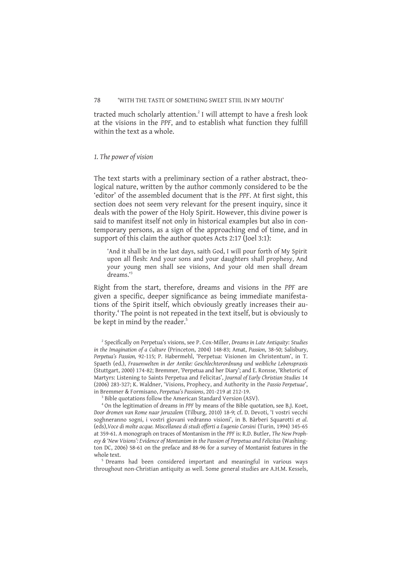tracted much scholarly attention.<sup>2</sup> I will attempt to have a fresh look at the visions in the *PPF*, and to establish what function they fulfill within the text as a whole.

#### *1. The power of vision*

The text starts with a preliminary section of a rather abstract, theological nature, written by the author commonly considered to be the 'editor' of the assembled document that is the *PPF*. At first sight, this section does not seem very relevant for the present inquiry, since it deals with the power of the Holy Spirit. However, this divine power is said to manifest itself not only in historical examples but also in contemporary persons, as a sign of the approaching end of time, and in support of this claim the author quotes Acts 2:17 (Joel 3:1):

'And it shall be in the last days, saith God, I will pour forth of My Spirit upon all flesh: And your sons and your daughters shall prophesy, And your young men shall see visions, And your old men shall dream dreams.'<sup>3</sup>

Right from the start, therefore, dreams and visions in the *PPF* are given a specific, deeper significance as being immediate manifestations of the Spirit itself, which obviously greatly increases their authority.<sup>4</sup> The point is not repeated in the text itself, but is obviously to be kept in mind by the reader.<sup>5</sup>

3 Bible quotations follow the American Standard Version (ASV).

<sup>5</sup> Dreams had been considered important and meaningful in various ways throughout non-Christian antiquity as well. Some general studies are A.H.M. Kessels,

<sup>2</sup> Specifically on Perpetua's visions, see P. Cox-Miller, *Dreams in Late Antiquity*: S*tudies in the Imagination of a Culture* (Princeton, 2004) 148-83; Amat, *Passion*, 38-50; Salisbury, *Perpetua's Passion,* 92-115; P. Habermehl, 'Perpetua: Visionen im Christentum', in T. Spaeth (ed.), *Frauenwelten in der Antike: Geschlechterordnung und weibliche Lebenspraxis* (Stuttgart, 2000) 174-82; Bremmer, 'Perpetua and her Diary'; and E. Ronsse, 'Rhetoric of Martyrs: Listening to Saints Perpetua and Felicitas', *Journal of Early Christian Studies* 14 (2006) 283-327; K. Waldner, 'Visions, Prophecy, and Authority in the *Passio Perpetuae*', in Bremmer & Formisano, *Perpetua's Passions*, 201-219 at 212-19.

<sup>4</sup> On the legitimation of dreams in *PPF* by means of the Bible quotation, see B.J. Koet, *Door dromen van Rome naar Jeruzalem* (Tilburg, 2010) 18-9; cf. D. Devoti, 'I vostri vecchi soghneranno sogni, i vostri giovani vedranno visioni', in B. Bàrberi Squarotti *et al*. (eds),*Voce di molte acque. Miscellanea di studi offerti a Eugenio Corsini* (Turin, 1994) 345-65 at 359-61. A monograph on traces of Montanism in the *PPF* is: R.D. Butler, *The New Prophesy & 'New Visions': Evidence of Montanism in the Passion of Perpetua and Felicitas* (Washington DC, 2006) 58-61 on the preface and 88-96 for a survey of Montanist features in the whole text.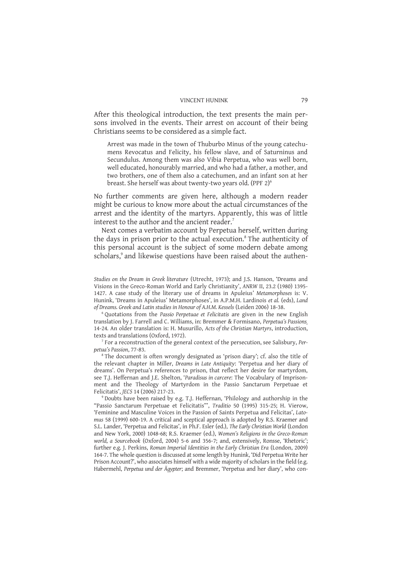After this theological introduction, the text presents the main persons involved in the events. Their arrest on account of their being Christians seems to be considered as a simple fact.

Arrest was made in the town of Thuburbo Minus of the young catechumens Revocatus and Felicity, his fellow slave, and of Saturninus and Secundulus. Among them was also Vibia Perpetua, who was well born, well educated, honourably married, and who had a father, a mother, and two brothers, one of them also a catechumen, and an infant son at her breast. She herself was about twenty-two years old. (PPF 2)<sup>6</sup>

No further comments are given here, although a modern reader might be curious to know more about the actual circumstances of the arrest and the identity of the martyrs. Apparently, this was of little interest to the author and the ancient reader.<sup>7</sup>

Next comes a verbatim account by Perpetua herself, written during the days in prison prior to the actual execution.<sup>8</sup> The authenticity of this personal account is the subject of some modern debate among scholars,<sup>9</sup> and likewise questions have been raised about the authen-

6 Quotations from the *Passio Perpetuae et Felicitatis* are given in the new English translation by J. Farrell and C. Williams, in: Bremmer & Formisano, *Perpetua's Passions¸*  14-24*.* An older translation is: H. Musurillo, *Acts of the Christian Martyrs*, introduction, texts and translations (Oxford, 1972).

7 For a reconstruction of the general context of the persecution, see Salisbury, *Perpetua's Passion*, 77-83.

<sup>8</sup> The document is often wrongly designated as 'prison diary'; cf. also the title of the relevant chapter in Miller, *Dreams in Late Antiquity*: 'Perpetua and her diary of dreams'. On Perpetua's references to prison, that reflect her desire for martyrdom, see T.J. Heffernan and J.E. Shelton, '*Paradisus in carcere*: The Vocabulary of Imprisonment and the Theology of Martyrdom in the Passio Sanctarum Perpetuae et Felicitatis', *JECS* 14 (2006) 217-23.

9 Doubts have been raised by e.g. T.J. Heffernan, 'Philology and authorship in the "Passio Sanctarum Perpetuae et Felicitatis"', *Traditio* 50 (1995) 315-25; H. Vierow, 'Feminine and Masculine Voices in the Passion of Saints Perpetua and Felicitas', *Latomus* 58 (1999) 600-19. A critical and sceptical approach is adopted by R.S. Kraemer and S.L. Lander, 'Perpetua and Felicitas', in Ph.F. Esler (ed.), *The Early Christian World* (London and New York, 2000) 1048-68; R.S. Kraemer (ed.), *Women's Religions in the Greco-Roman world, a Sourcebook* (Oxford, 2004) 5-6 and 356-7; and, extensively, Ronsse, 'Rhetoric'; further e.g. J. Perkins, *Roman Imperial Identities in the Early Christian Era* (London, 2009) 164-7. The whole question is discussed at some length by Hunink, 'Did Perpetua Write her Prison Account?', who associates himself with a wide majority of scholars in the field (e.g. Habermehl, *Perpetua und der Ägypter*; and Bremmer, 'Perpetua and her diary', who con-

*Studies on the Dream in Greek literature* (Utrecht, 1973); and J.S. Hanson, 'Dreams and Visions in the Greco-Roman World and Early Christianity', *ANRW* II, 23.2 (1980) 1395- 1427. A case study of the literary use of dreams in Apuleius' *Metamorphoses* is: V. Hunink, 'Dreams in Apuleius' Metamorphoses', in A.P.M.H. Lardinois *et al.* (eds), *Land of Dreams. Greek and Latin studies in Honour of A.H.M. Kessels* (Leiden 2006) 18-38.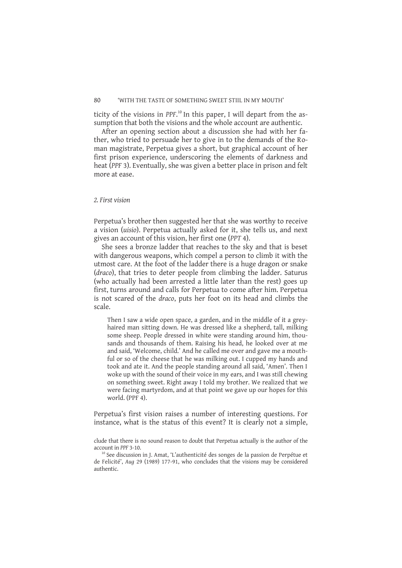ticity of the visions in PPF.<sup>10</sup> In this paper, I will depart from the assumption that both the visions and the whole account are authentic.

After an opening section about a discussion she had with her father, who tried to persuade her to give in to the demands of the Roman magistrate, Perpetua gives a short, but graphical account of her first prison experience, underscoring the elements of darkness and heat (*PPF* 3). Eventually, she was given a better place in prison and felt more at ease.

## *2. First vision*

Perpetua's brother then suggested her that she was worthy to receive a vision (*uisio*). Perpetua actually asked for it, she tells us, and next gives an account of this vision, her first one (*PPT* 4).

She sees a bronze ladder that reaches to the sky and that is beset with dangerous weapons, which compel a person to climb it with the utmost care. At the foot of the ladder there is a huge dragon or snake (*draco*), that tries to deter people from climbing the ladder. Saturus (who actually had been arrested a little later than the rest) goes up first, turns around and calls for Perpetua to come after him. Perpetua is not scared of the *draco*, puts her foot on its head and climbs the scale.

Then I saw a wide open space, a garden, and in the middle of it a greyhaired man sitting down. He was dressed like a shepherd, tall, milking some sheep. People dressed in white were standing around him, thousands and thousands of them. Raising his head, he looked over at me and said, 'Welcome, child.' And he called me over and gave me a mouthful or so of the cheese that he was milking out. I cupped my hands and took and ate it. And the people standing around all said, 'Amen'. Then I woke up with the sound of their voice in my ears, and I was still chewing on something sweet. Right away I told my brother. We realized that we were facing martyrdom, and at that point we gave up our hopes for this world. (PPF 4).

Perpetua's first vision raises a number of interesting questions. For instance, what is the status of this event? It is clearly not a simple,

<sup>10</sup> See discussion in J. Amat, 'L'authenticité des songes de la passion de Perpétue et de Felicité', *Aug* 29 (1989) 177-91, who concludes that the visions may be considered authentic.

clude that there is no sound reason to doubt that Perpetua actually is the author of the account in *PPF* 3-10.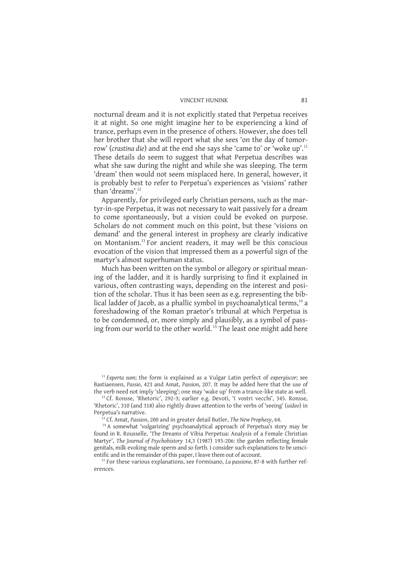nocturnal dream and it is not explicitly stated that Perpetua receives it at night. So one might imagine her to be experiencing a kind of trance, perhaps even in the presence of others. However, she does tell her brother that she will report what she sees 'on the day of tomorrow' (*crastina die*) and at the end she says she 'came to' or 'woke up'.<sup>11</sup> These details do seem to suggest that what Perpetua describes was what she saw during the night and while she was sleeping. The term 'dream' then would not seem misplaced here. In general, however, it is probably best to refer to Perpetua's experiences as 'visions' rather than 'dreams'.<sup>12</sup>

Apparently, for privileged early Christian persons, such as the martyr-in-spe Perpetua, it was not necessary to wait passively for a dream to come spontaneously, but a vision could be evoked on purpose. Scholars do not comment much on this point, but these 'visions on demand' and the general interest in prophesy are clearly indicative on Montanism.<sup>13</sup> For ancient readers, it may well be this conscious evocation of the vision that impressed them as a powerful sign of the martyr's almost superhuman status.

Much has been written on the symbol or allegory or spiritual meaning of the ladder, and it is hardly surprising to find it explained in various, often contrasting ways, depending on the interest and position of the scholar. Thus it has been seen as e.g. representing the biblical ladder of Jacob, as a phallic symbol in psychoanalytical terms, $<sup>14</sup>$  a</sup> foreshadowing of the Roman praetor's tribunal at which Perpetua is to be condemned, or, more simply and plausibly, as a symbol of passing from our world to the other world.<sup>15</sup> The least one might add here

<sup>11</sup> *Experta sum*; the form is explained as a Vulgar Latin perfect of *expergiscor*; see Bastiaensen, *Passio*, 423 and Amat, *Passion*, 207. It may be added here that the use of the verb need not imply 'sleeping'; one may 'wake up' from a trance-like state as well.

<sup>12</sup> Cf. Ronsse, 'Rhetoric', 292-3; earlier e.g. Devoti, 'I vostri vecchi', 345. Ronsse, 'Rhetoric', 310 (and 318) also rightly draws attention to the verbs of 'seeing' (*uideo*) in Perpetua's narrative.

<sup>13</sup> Cf. Amat, *Passion*, 200 and in greater detail Butler, *The New Prophesy*, 64.

<sup>14</sup> A somewhat 'vulgarizing' psychoanalytical approach of Perpetua's story may be found in R. Rousselle, 'The Dreams of Vibia Perpetua: Analysis of a Female Christian Martyr', *The Journal of Psychohistory* 14,3 (1987) 193-206: the garden reflecting female genitals, milk evoking male sperm and so forth. I consider such explanations to be unscientific and in the remainder of this paper, I leave them out of account.

<sup>15</sup> For these various explanations, see Formisano, *La passione,* 87-8 with further references.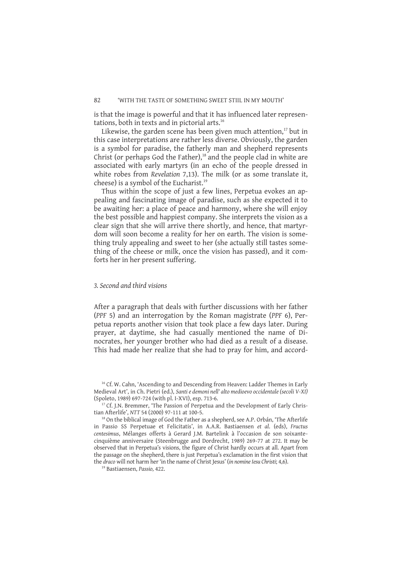is that the image is powerful and that it has influenced later representations, both in texts and in pictorial arts.<sup>16</sup>

Likewise, the garden scene has been given much attention, $17$  but in this case interpretations are rather less diverse. Obviously, the garden is a symbol for paradise, the fatherly man and shepherd represents Christ (or perhaps God the Father), $18$  and the people clad in white are associated with early martyrs (in an echo of the people dressed in white robes from *Revelation* 7,13). The milk (or as some translate it, cheese) is a symbol of the Eucharist.<sup>19</sup>

Thus within the scope of just a few lines, Perpetua evokes an appealing and fascinating image of paradise, such as she expected it to be awaiting her: a place of peace and harmony, where she will enjoy the best possible and happiest company. She interprets the vision as a clear sign that she will arrive there shortly, and hence, that martyrdom will soon become a reality for her on earth. The vision is something truly appealing and sweet to her (she actually still tastes something of the cheese or milk, once the vision has passed), and it comforts her in her present suffering.

## *3. Second and third visions*

After a paragraph that deals with further discussions with her father (*PPF* 5) and an interrogation by the Roman magistrate (*PPF* 6), Perpetua reports another vision that took place a few days later. During prayer, at daytime, she had casually mentioned the name of Dinocrates, her younger brother who had died as a result of a disease. This had made her realize that she had to pray for him, and accord-

19 Bastiaensen, *Passio,* 422.

<sup>&</sup>lt;sup>16</sup> Cf. W. Cahn, 'Ascending to and Descending from Heaven: Ladder Themes in Early Medieval Art', in Ch. Pietri (ed.), *Santi e demoni nell' alto medioevo occidentale (secoli V-XI)* (Spoleto, 1989) 697-724 (with pl. I-XVI), esp. 713-6.

 $17$  Cf. J.N. Bremmer, 'The Passion of Perpetua and the Development of Early Christian Afterlife', *NTT* 54 (2000) 97-111 at 100-5.

<sup>&</sup>lt;sup>18</sup> On the biblical image of God the Father as a shepherd, see A.P. Orbán, 'The Afterlife in Passio SS Perpetuae et Felicitatis', in A.A.R. Bastiaensen *et al*. (eds), *Fructus centesimus*, Mélanges offerts à Gerard J.M. Bartelink à l'occasion de son soixantecinquième anniversaire (Steenbrugge and Dordrecht, 1989) 269-77 at 272. It may be observed that in Perpetua's visions, the figure of Christ hardly occurs at all. Apart from the passage on the shepherd, there is just Perpetua's exclamation in the first vision that the *draco* will not harm her 'in the name of Christ Jesus' (*in nomine Iesu Christi*; 4,6).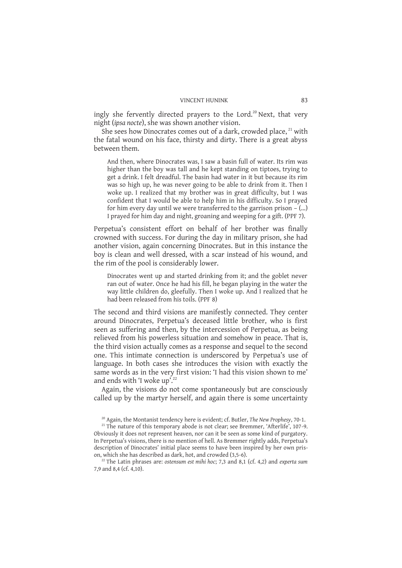ingly she fervently directed prayers to the Lord.<sup>20</sup> Next, that very night (*ipsa nocte*), she was shown another vision.

She sees how Dinocrates comes out of a dark, crowded place, <sup>21</sup> with the fatal wound on his face, thirsty and dirty. There is a great abyss between them.

And then, where Dinocrates was, I saw a basin full of water. Its rim was higher than the boy was tall and he kept standing on tiptoes, trying to get a drink. I felt dreadful. The basin had water in it but because its rim was so high up, he was never going to be able to drink from it. Then I woke up. I realized that my brother was in great difficulty, but I was confident that I would be able to help him in his difficulty. So I prayed for him every day until we were transferred to the garrison prison  $-$  (...) I prayed for him day and night, groaning and weeping for a gift. (PPF 7).

Perpetua's consistent effort on behalf of her brother was finally crowned with success. For during the day in military prison, she had another vision, again concerning Dinocrates. But in this instance the boy is clean and well dressed, with a scar instead of his wound, and the rim of the pool is considerably lower.

Dinocrates went up and started drinking from it; and the goblet never ran out of water. Once he had his fill, he began playing in the water the way little children do, gleefully. Then I woke up. And I realized that he had been released from his toils. (PPF 8)

The second and third visions are manifestly connected. They center around Dinocrates, Perpetua's deceased little brother, who is first seen as suffering and then, by the intercession of Perpetua, as being relieved from his powerless situation and somehow in peace. That is, the third vision actually comes as a response and sequel to the second one. This intimate connection is underscored by Perpetua's use of language. In both cases she introduces the vision with exactly the same words as in the very first vision: 'I had this vision shown to me' and ends with 'I woke up'.<sup>22</sup>

Again, the visions do not come spontaneously but are consciously called up by the martyr herself, and again there is some uncertainty

<sup>20</sup> Again, the Montanist tendency here is evident; cf. Butler, *The New Prophesy*, 70-1.

<sup>&</sup>lt;sup>21</sup> The nature of this temporary abode is not clear; see Bremmer, 'Afterlife', 107-9. Obviously it does not represent heaven, nor can it be seen as some kind of purgatory. In Perpetua's visions, there is no mention of hell. As Bremmer rightly adds, Perpetua's description of Dinocrates' initial place seems to have been inspired by her own prison, which she has described as dark, hot, and crowded (3,5-6).

<sup>22</sup> The Latin phrases are: *ostensum est mihi hoc*; 7,3 and 8,1 (cf. 4,2) and *experta sum* 7,9 and 8,4 (cf. 4,10).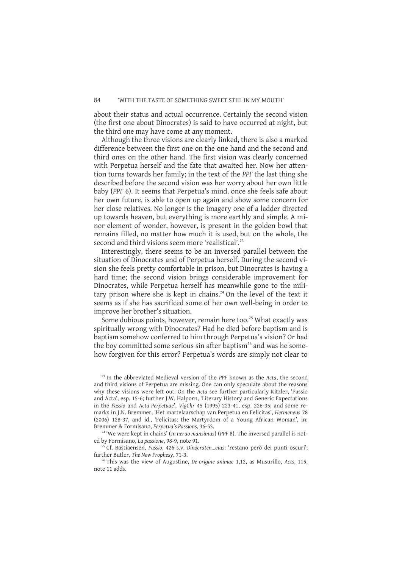about their status and actual occurrence. Certainly the second vision (the first one about Dinocrates) is said to have occurred at night, but the third one may have come at any moment.

Although the three visions are clearly linked, there is also a marked difference between the first one on the one hand and the second and third ones on the other hand. The first vision was clearly concerned with Perpetua herself and the fate that awaited her. Now her attention turns towards her family; in the text of the *PPF* the last thing she described before the second vision was her worry about her own little baby (*PPF* 6). It seems that Perpetua's mind, once she feels safe about her own future, is able to open up again and show some concern for her close relatives. No longer is the imagery one of a ladder directed up towards heaven, but everything is more earthly and simple. A minor element of wonder, however, is present in the golden bowl that remains filled, no matter how much it is used, but on the whole, the second and third visions seem more 'realistical'.<sup>23</sup>

Interestingly, there seems to be an inversed parallel between the situation of Dinocrates and of Perpetua herself. During the second vision she feels pretty comfortable in prison, but Dinocrates is having a hard time; the second vision brings considerable improvement for Dinocrates, while Perpetua herself has meanwhile gone to the military prison where she is kept in chains.<sup>24</sup> On the level of the text it seems as if she has sacrificed some of her own well-being in order to improve her brother's situation.

Some dubious points, however, remain here too.<sup>25</sup> What exactly was spiritually wrong with Dinocrates? Had he died before baptism and is baptism somehow conferred to him through Perpetua's vision? Or had the boy committed some serious sin after baptism<sup>26</sup> and was he somehow forgiven for this error? Perpetua's words are simply not clear to

<sup>23</sup> In the abbreviated Medieval version of the *PPF* known as the *Acta*, the second and third visions of Perpetua are missing. One can only speculate about the reasons why these visions were left out. On the *Acta* see further particularly Kitzler, 'Passio and Acta', esp. 15-6; further J.W. Halporn, 'Literary History and Generic Expectations in the *Passio* and *Acta Perpetuae*', *VigChr* 45 (1995) 223-41, esp. 226-35; and some remarks in J.N. Bremmer, 'Het martelaarschap van Perpetua en Felicitas', *Hermeneus* 78 (2006) 128-37, and id., 'Felicitas: the Martyrdom of a Young African Woman', in: Bremmer & Formisano, *Perpetua's Passions,* 36-53.

<sup>24</sup> 'We were kept in chains' (*In neruo mansimus*) (*PPF* 8). The inversed parallel is noted by Formisano, *La passione*, 98-9, note 91.

<sup>25</sup> Cf. Bastiaensen, *Passio*, 426 s.v. *Dinocraten...eius*: 'restano però dei punti oscuri'; further Butler, *The New Prophesy*, 71-3.

<sup>26</sup> This was the view of Augustine, *De origine animae* 1,12, as Musurillo, *Acts*, 115, note 11 adds.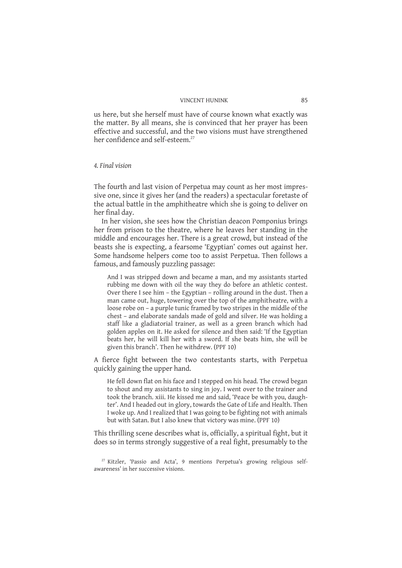us here, but she herself must have of course known what exactly was the matter. By all means, she is convinced that her prayer has been effective and successful, and the two visions must have strengthened her confidence and self-esteem.<sup>27</sup>

## *4. Final vision*

The fourth and last vision of Perpetua may count as her most impressive one, since it gives her (and the readers) a spectacular foretaste of the actual battle in the amphitheatre which she is going to deliver on her final day.

In her vision, she sees how the Christian deacon Pomponius brings her from prison to the theatre, where he leaves her standing in the middle and encourages her. There is a great crowd, but instead of the beasts she is expecting, a fearsome 'Egyptian' comes out against her. Some handsome helpers come too to assist Perpetua. Then follows a famous, and famously puzzling passage:

And I was stripped down and became a man, and my assistants started rubbing me down with oil the way they do before an athletic contest. Over there I see him – the Egyptian – rolling around in the dust. Then a man came out, huge, towering over the top of the amphitheatre, with a loose robe on – a purple tunic framed by two stripes in the middle of the chest – and elaborate sandals made of gold and silver. He was holding a staff like a gladiatorial trainer, as well as a green branch which had golden apples on it. He asked for silence and then said: 'If the Egyptian beats her, he will kill her with a sword. If she beats him, she will be given this branch'. Then he withdrew. (PPF 10)

A fierce fight between the two contestants starts, with Perpetua quickly gaining the upper hand.

He fell down flat on his face and I stepped on his head. The crowd began to shout and my assistants to sing in joy. I went over to the trainer and took the branch. xiii. He kissed me and said, 'Peace be with you, daughter'. And I headed out in glory, towards the Gate of Life and Health. Then I woke up. And I realized that I was going to be fighting not with animals but with Satan. But I also knew that victory was mine. (PPF 10)

This thrilling scene describes what is, officially, a spiritual fight, but it does so in terms strongly suggestive of a real fight, presumably to the

 $27$  Kitzler, 'Passio and Acta', 9 mentions Perpetua's growing religious selfawareness' in her successive visions.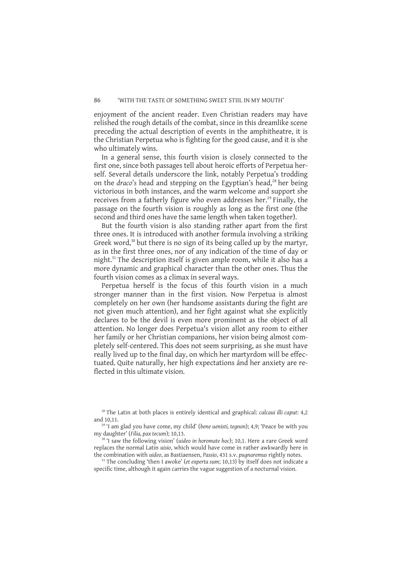enjoyment of the ancient reader. Even Christian readers may have relished the rough details of the combat, since in this dreamlike scene preceding the actual description of events in the amphitheatre, it is the Christian Perpetua who is fighting for the good cause, and it is she who ultimately wins.

In a general sense, this fourth vision is closely connected to the first one, since both passages tell about heroic efforts of Perpetua herself. Several details underscore the link, notably Perpetua's trodding on the *draco*'s head and stepping on the Egyptian's head,<sup>28</sup> her being victorious in both instances, and the warm welcome and support she receives from a fatherly figure who even addresses her.<sup>29</sup> Finally, the passage on the fourth vision is roughly as long as the first one (the second and third ones have the same length when taken together).

But the fourth vision is also standing rather apart from the first three ones. It is introduced with another formula involving a striking Greek word,<sup>30</sup> but there is no sign of its being called up by the martyr, as in the first three ones, nor of any indication of the time of day or night.<sup>31</sup> The description itself is given ample room, while it also has a more dynamic and graphical character than the other ones. Thus the fourth vision comes as a climax in several ways.

Perpetua herself is the focus of this fourth vision in a much stronger manner than in the first vision. Now Perpetua is almost completely on her own (her handsome assistants during the fight are not given much attention), and her fight against what she explicitly declares to be the devil is even more prominent as the object of all attention. No longer does Perpetua's vision allot any room to either her family or her Christian companions, her vision being almost completely self-centered. This does not seem surprising, as she must have really lived up to the final day, on which her martyrdom will be effectuated. Quite naturally, her high expectations ánd her anxiety are reflected in this ultimate vision.

<sup>31</sup> The concluding 'then I awoke' (*et experta sum*; 10,13) by itself does not indicate a specific time, although it again carries the vague suggestion of a nocturnal vision.

<sup>28</sup> The Latin at both places is entirely identical and graphical: *calcaui illi caput*: 4,2 and 10,11.

<sup>29</sup> 'I am glad you have come, my child' (*bene uenisti, tegnon*); 4,9; 'Peace be with you my daughter' (*Filia, pax tecum*); 10,13.

<sup>30</sup> 'I saw the following vision' (*uideo in horomate hoc*); 10,1. Here a rare Greek word replaces the normal Latin *uisio*, which would have come in rather awkwardly here in the combination with *uideo*, as Bastiaensen, *Passio*, 431 s.v. *pugnaremus* rightly notes.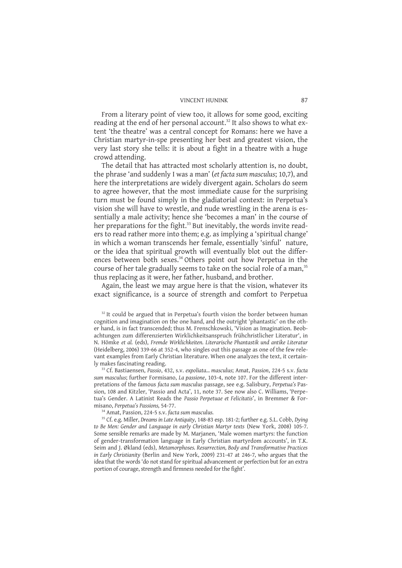From a literary point of view too, it allows for some good, exciting reading at the end of her personal account.<sup>32</sup> It also shows to what extent 'the theatre' was a central concept for Romans: here we have a Christian martyr-in-spe presenting her best and greatest vision, the very last story she tells: it is about a fight in a theatre with a huge crowd attending.

The detail that has attracted most scholarly attention is, no doubt, the phrase 'and suddenly I was a man' (*et facta sum masculus*; 10,7), and here the interpretations are widely divergent again. Scholars do seem to agree however, that the most immediate cause for the surprising turn must be found simply in the gladiatorial context: in Perpetua's vision she will have to wrestle, and nude wrestling in the arena is essentially a male activity; hence she 'becomes a man' in the course of her preparations for the fight.<sup>33</sup> But inevitably, the words invite readers to read rather more into them; e.g. as implying a 'spiritual change' in which a woman transcends her female, essentially 'sinful' nature, or the idea that spiritual growth will eventually blot out the differences between both sexes.<sup>34</sup> Others point out how Perpetua in the course of her tale gradually seems to take on the social role of a man,<sup>35</sup> thus replacing as it were, her father, husband, and brother.

Again, the least we may argue here is that the vision, whatever its exact significance, is a source of strength and comfort to Perpetua

<sup>33</sup> Cf. Bastiaensen, *Passio*, 432, s.v. *expoliata... masculus*; Amat, *Passion*, 224-5 s.v. *facta sum masculus*; further Formisano, *La passione*, 103-4, note 107. For the different interpretations of the famous *facta sum masculus* passage, see e.g. Salisbury, *Perpetua's* Passion, 108 and Kitzler, 'Passio and Acta', 11, note 37. See now also C. Williams, 'Perpetua's Gender. A Latinist Reads the *Passio Perpetuae et Felicitatis*', in Bremmer & Formisano, *Perpetua's Passions,* 54-77.

<sup>34</sup> Amat, Passion, 224-5 s.v. *facta sum masculus.*

<sup>35</sup> Cf. e.g. Miller, *Dreams in Late Antiquity*, 148-83 esp. 181-2; further e.g. S.L. Cobb, *Dying to Be Men: Gender and Language in early Christian Martyr texts* (New York, 2008) 105-7. Some sensible remarks are made by M. Marjanen, 'Male women martyrs: the function of gender-transformation language in Early Christian martyrdom accounts', in T.K. Seim and J. Økland (eds), *Metamorphoses. Resurrection, Body and Transformative Practices in Early Christianity* (Berlin and New York, 2009) 231-47 at 246-7, who argues that the idea that the words 'do not stand for spiritual advancement or perfection but for an extra portion of courage, strength and firmness needed for the fight'.

 $32$  It could be argued that in Perpetua's fourth vision the border between human cognition and imagination on the one hand, and the outright 'phantastic' on the other hand, is in fact transcended; thus M. Frenschkowski, 'Vision as Imagination. Beobachtungen zum differenzierten Wirklichkeitsanspruch frühchristlicher Literatur', in N. Hömke *et al.* (eds), *Fremde Wirklichkeiten. Literarische Phantastik und antike Literatur* (Heidelberg, 2006) 339-66 at 352-4, who singles out this passage as one of the few relevant examples from Early Christian literature. When one analyzes the text, it certainly makes fascinating reading.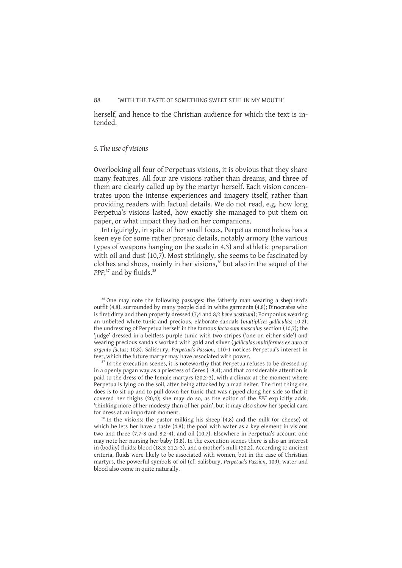herself, and hence to the Christian audience for which the text is intended.

## *5. The use of visions*

Overlooking all four of Perpetuas visions, it is obvious that they share many features. All four are visions rather than dreams, and three of them are clearly called up by the martyr herself. Each vision concentrates upon the intense experiences and imagery itself, rather than providing readers with factual details. We do not read, e.g. how long Perpetua's visions lasted, how exactly she managed to put them on paper, or what impact they had on her companions.

Intriguingly, in spite of her small focus, Perpetua nonetheless has a keen eye for some rather prosaic details, notably armory (the various types of weapons hanging on the scale in 4,3) and athletic preparation with oil and dust (10,7). Most strikingly, she seems to be fascinated by clothes and shoes, mainly in her visions,<sup>36</sup> but also in the sequel of the PPF<sup>37</sup> and by fluids.<sup>38</sup>

<sup>36</sup> One may note the following passages: the fatherly man wearing a shepherd's outfit (4,8), surrounded by many people clad in white garments (4,8); Dinocrates who is first dirty and then properly dressed (7,4 and 8,2 *bene uestitum*); Pomponius wearing an unbelted white tunic and precious, elaborate sandals (*multiplices galliculas*; 10,2); the undressing of Perpetua herself in the famous *facta sum masculus* section (10,7); the 'judge' dressed in a beltless purple tunic with two stripes ('one on either side') and wearing precious sandals worked with gold and silver (*galliculas multiformes ex auro et argento factas*; 10,8). Salisbury, *Perpetua's Passion*, 110-1 notices Perpetua's interest in feet, which the future martyr may have associated with power.

In the execution scenes, it is noteworthy that Perpetua refuses to be dressed up in a openly pagan way as a priestess of Ceres (18,4); and that considerable attention is paid to the dress of the female martyrs (20,2-3), with a climax at the moment where Perpetua is lying on the soil, after being attacked by a mad heifer. The first thing she does is to sit up and to pull down her tunic that was ripped along her side so that it covered her thighs (20,4); she may do so, as the editor of the *PPF* explicitly adds, 'thinking more of her modesty than of her pain', but it may also show her special care for dress at an important moment.

<sup>38</sup> In the visions: the pastor milking his sheep (4,8) and the milk (or cheese) of which he lets her have a taste (4,8); the pool with water as a key element in visions two and three (7,7-8 and 8,2-4); and oil (10,7). Elsewhere in Perpetua's account one may note her nursing her baby (3,8). In the execution scenes there is also an interest in (bodily) fluids: blood (18,3; 21,2-3), and a mother's milk (20,2). According to ancient criteria, fluids were likely to be associated with women, but in the case of Christian martyrs, the powerful symbols of oil (cf. Salisbury, *Perpetua's Passion*, 109), water and blood also come in quite naturally.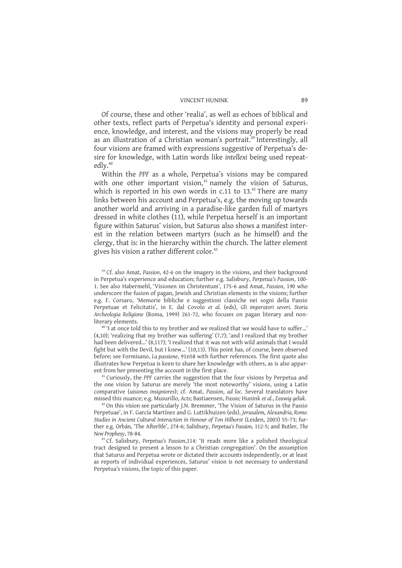Of course, these and other 'realia', as well as echoes of biblical and other texts, reflect parts of Perpetua's identity and personal experience, knowledge, and interest, and the visions may properly be read as an illustration of a Christian woman's portrait.<sup>39</sup> Interestingly, all four visions are framed with expressions suggestive of Perpetua's desire for knowledge, with Latin words like *intellexi* being used repeatedly.<sup>40</sup>

Within the *PPF* as a whole, Perpetua's visions may be compared with one other important vision, $41$  namely the vision of Saturus, which is reported in his own words in  $c.11$  to  $13.^{42}$  There are many links between his account and Perpetua's, e.g. the moving up towards another world and arriving in a paradise-like garden full of martyrs dressed in white clothes (11), while Perpetua herself is an important figure within Saturus' vision, but Saturus also shows a manifest interest in the relation between martyrs (such as he himself) and the clergy, that is: in the hierarchy within the church. The latter element gives his vision a rather different color.<sup>43</sup>

<sup>39</sup> Cf. also Amat, *Passion*, 42-6 on the imagery in the visions, and their background in Perpetua's experience and education; further e.g. Salisbury, *Perpetua's Passion*, 100- 1. See also Habermehl, 'Visionen im Christentum', 175-6 and Amat, *Passion*, 190 who underscore the fusion of pagan, Jewish and Christian elements in the visions; further e.g. F. Corsaro, 'Memorie bibliche e suggestioni classiche nei sogni della Passio Perpetuae et Felicitatis', in E. dal Covolo *et al.* (eds), *Gli imperatori severi. Storia Archeologia Religione* (Roma, 1999) 261-72, who focuses on pagan literary and nonliterary elements.

<sup>40</sup> 'I at once told this to my brother and we realized that we would have to suffer...' (4,10); 'realizing that my brother was suffering'  $(7,7)$ ; 'and I realized that my brother had been delivered...' (8,117); 'I realized that it was not with wild animals that I would fight but with the Devil, but I knew...' (10,13). This point has, of course, been observed before; see Formisano, *La passione*, 91n58 with further references. The first quote also illustrates how Perpetua is keen to share her knowledge with others, as is also apparent from her presenting the account in the first place.

<sup>41</sup> Curiously, the *PPF* carries the suggestion that the four visions by Perpetua and the one vision by Saturus are merely 'the most noteworthy' visions, using a Latin comparative (*uisiones insigniores*); cf. Amat, *Passion*, *ad loc.* Several translators have missed this nuance; e.g. Musurillo, *Acts*; Bastiaensen, *Passio;* Hunink *et al.*, *Eeuwig geluk.*

<sup>12</sup> On this vision see particularly J.N. Bremmer, 'The Vision of Saturus in the Passio Perpetuae', in F. García Martínez and G. Luttikhuizen (eds), *Jerusalem, Alexandria, Rome. Studies in Ancient Cultural Interaction in Honour of Ton Hilhorst* (Leiden, 2003) 55-73; further e.g. Orbán, 'The Afterlife', 274-6; Salisbury, *Perpetua's Passion,* 112-5; and Butler, *The New Prophesy*, 78-84.

<sup>43</sup> Cf. Salisbury, *Perpetua's Passion*,114: 'It reads more like a polished theological tract designed to present a lesson to a Christian congregation'. On the assumption that Saturus and Perpetua wrote or dictated their accounts independently, or at least as reports of individual experiences, Saturus' vision is not necessary to understand Perpetua's visions, the topic of this paper.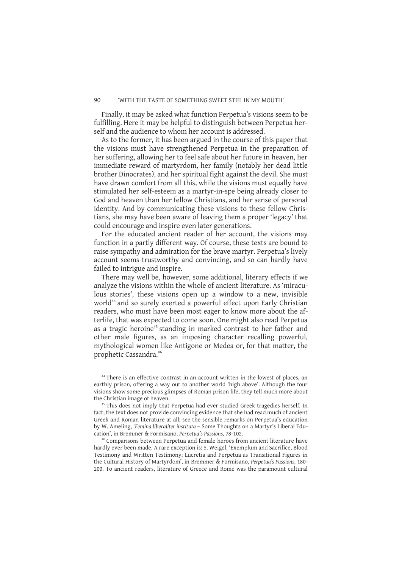Finally, it may be asked what function Perpetua's visions seem to be fulfilling. Here it may be helpful to distinguish between Perpetua herself and the audience to whom her account is addressed.

As to the former, it has been argued in the course of this paper that the visions must have strengthened Perpetua in the preparation of her suffering, allowing her to feel safe about her future in heaven, her immediate reward of martyrdom, her family (notably her dead little brother Dinocrates), and her spiritual fight against the devil. She must have drawn comfort from all this, while the visions must equally have stimulated her self-esteem as a martyr-in-spe being already closer to God and heaven than her fellow Christians, and her sense of personal identity. And by communicating these visions to these fellow Christians, she may have been aware of leaving them a proper 'legacy' that could encourage and inspire even later generations.

For the educated ancient reader of her account, the visions may function in a partly different way. Of course, these texts are bound to raise sympathy and admiration for the brave martyr. Perpetua's lively account seems trustworthy and convincing, and so can hardly have failed to intrigue and inspire.

There may well be, however, some additional, literary effects if we analyze the visions within the whole of ancient literature. As 'miraculous stories', these visions open up a window to a new, invisible world<sup>44</sup> and so surely exerted a powerful effect upon Early Christian readers, who must have been most eager to know more about the afterlife, that was expected to come soon. One might also read Perpetua as a tragic heroine<sup>45</sup> standing in marked contrast to her father and other male figures, as an imposing character recalling powerful, mythological women like Antigone or Medea or, for that matter, the prophetic Cassandra.<sup>46</sup>

<sup>15</sup> This does not imply that Perpetua had ever studied Greek tragedies herself. In fact, the text does not provide convincing evidence that she had read much of ancient Greek and Roman literature at all; see the sensible remarks on Perpetua's education by W. Ameling, '*Femina liberaliter instituta* – Some Thoughts on a Martyr's Liberal Education', in Bremmer & Formisano, *Perpetua's Passions,* 78-102.

<sup>46</sup> Comparisons between Perpetua and female heroes from ancient literature have hardly ever been made. A rare exception is: S. Weigel, 'Exemplum and Sacrifice, Blood Testimony and Written Testimony: Lucretia and Perpetua as Transitional Figures in the Cultural History of Martyrdom', in Bremmer & Formisano, *Perpetua's Passions,* 180- 200. To ancient readers, literature of Greece and Rome was the paramount cultural

<sup>&</sup>lt;sup>44</sup> There is an effective contrast in an account written in the lowest of places, an earthly prison, offering a way out to another world 'high above'. Although the four visions show some precious glimpses of Roman prison life, they tell much more about the Christian image of heaven.